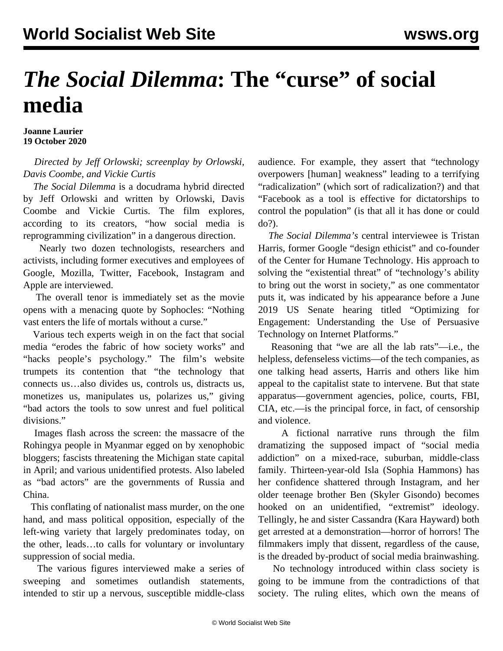## *The Social Dilemma***: The "curse" of social media**

**Joanne Laurier 19 October 2020**

 *Directed by Jeff Orlowski; screenplay by Orlowski, Davis Coombe, and Vickie Curtis*

 *The Social Dilemma* is a docudrama hybrid directed by Jeff Orlowski and written by Orlowski, Davis Coombe and Vickie Curtis. The film explores, according to its creators, "how social media is reprogramming civilization" in a dangerous direction.

 Nearly two dozen technologists, researchers and activists, including former executives and employees of Google, Mozilla, Twitter, Facebook, Instagram and Apple are interviewed.

 The overall tenor is immediately set as the movie opens with a menacing quote by Sophocles: "Nothing vast enters the life of mortals without a curse."

 Various tech experts weigh in on the fact that social media "erodes the fabric of how society works" and "hacks people's psychology." The film's website trumpets its contention that "the technology that connects us…also divides us, controls us, distracts us, monetizes us, manipulates us, polarizes us," giving "bad actors the tools to sow unrest and fuel political divisions."

 Images flash across the screen: the massacre of the Rohingya people in Myanmar egged on by xenophobic bloggers; fascists threatening the Michigan state capital in April; and various unidentified protests. Also labeled as "bad actors" are the governments of Russia and China.

 This conflating of nationalist mass murder, on the one hand, and mass political opposition, especially of the left-wing variety that largely predominates today, on the other, leads…to calls for voluntary or involuntary suppression of social media.

 The various figures interviewed make a series of sweeping and sometimes outlandish statements, intended to stir up a nervous, susceptible middle-class audience. For example, they assert that "technology overpowers [human] weakness" leading to a terrifying "radicalization" (which sort of radicalization?) and that "Facebook as a tool is effective for dictatorships to control the population" (is that all it has done or could do?).

 *The Social Dilemma's* central interviewee is Tristan Harris, former Google "design ethicist" and co-founder of the Center for Humane Technology. His approach to solving the "existential threat" of "technology's ability to bring out the worst in society," as one commentator puts it, was indicated by his appearance before a June 2019 US Senate hearing titled "Optimizing for Engagement: Understanding the Use of Persuasive Technology on Internet Platforms."

 Reasoning that "we are all the lab rats"—i.e., the helpless, defenseless victims—of the tech companies, as one talking head asserts, Harris and others like him appeal to the capitalist state to intervene. But that state apparatus—government agencies, police, courts, FBI, CIA, etc.—is the principal force, in fact, of censorship and violence.

 A fictional narrative runs through the film dramatizing the supposed impact of "social media addiction" on a mixed-race, suburban, middle-class family. Thirteen-year-old Isla (Sophia Hammons) has her confidence shattered through Instagram, and her older teenage brother Ben (Skyler Gisondo) becomes hooked on an unidentified, "extremist" ideology. Tellingly, he and sister Cassandra (Kara Hayward) both get arrested at a demonstration—horror of horrors! The filmmakers imply that dissent, regardless of the cause, is the dreaded by-product of social media brainwashing.

 No technology introduced within class society is going to be immune from the contradictions of that society. The ruling elites, which own the means of